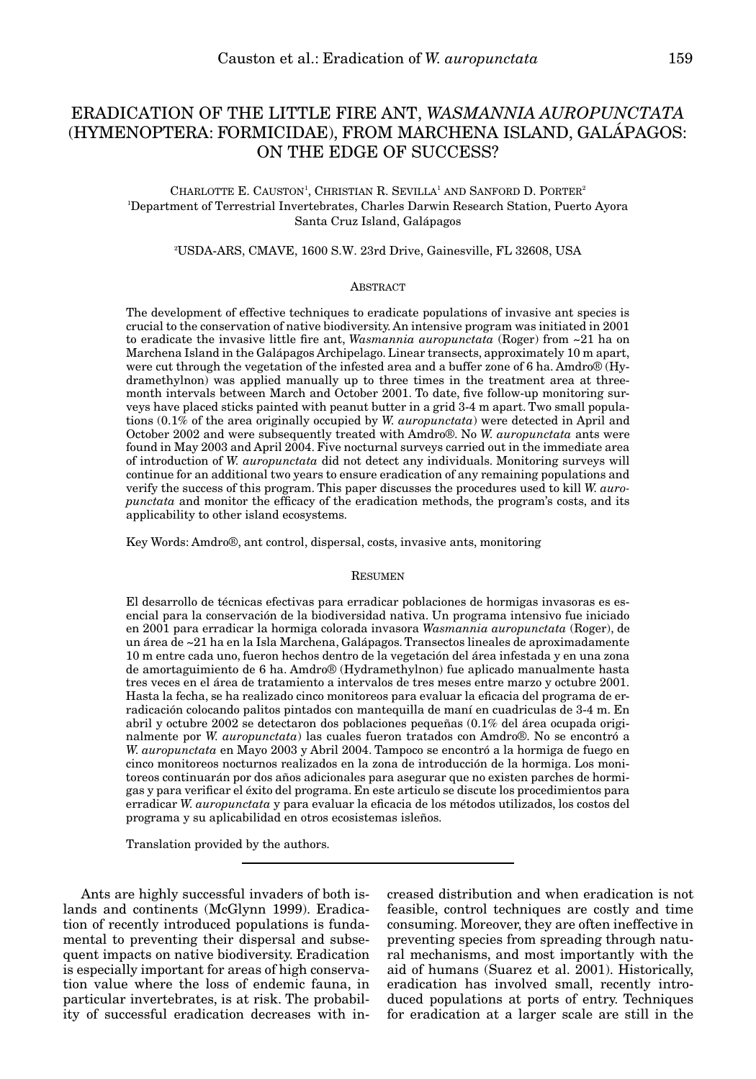# ERADICATION OF THE LITTLE FIRE ANT, *WASMANNIA AUROPUNCTATA* (HYMENOPTERA: FORMICIDAE), FROM MARCHENA ISLAND, GALÁPAGOS: ON THE EDGE OF SUCCESS?

## CHARLOTTE E. CAUSTON<sup>1</sup>, CHRISTIAN R. SEVILLA<sup>1</sup> AND SANFORD D. PORTER<sup>2</sup> 1 Department of Terrestrial Invertebrates, Charles Darwin Research Station, Puerto Ayora Santa Cruz Island, Galápagos

#### 2 USDA-ARS, CMAVE, 1600 S.W. 23rd Drive, Gainesville, FL 32608, USA

#### ABSTRACT

The development of effective techniques to eradicate populations of invasive ant species is crucial to the conservation of native biodiversity. An intensive program was initiated in 2001 to eradicate the invasive little fire ant, *Wasmannia auropunctata* (Roger) from ~21 ha on Marchena Island in the Galápagos Archipelago. Linear transects, approximately 10 m apart, were cut through the vegetation of the infested area and a buffer zone of 6 ha. Amdro® (Hydramethylnon) was applied manually up to three times in the treatment area at threemonth intervals between March and October 2001. To date, five follow-up monitoring surveys have placed sticks painted with peanut butter in a grid 3-4 m apart. Two small populations (0.1% of the area originally occupied by *W. auropunctata*) were detected in April and October 2002 and were subsequently treated with Amdro®. No *W. auropunctata* ants were found in May 2003 and April 2004. Five nocturnal surveys carried out in the immediate area of introduction of *W. auropunctata* did not detect any individuals. Monitoring surveys will continue for an additional two years to ensure eradication of any remaining populations and verify the success of this program. This paper discusses the procedures used to kill *W. auropunctata* and monitor the efficacy of the eradication methods, the program's costs, and its applicability to other island ecosystems.

Key Words: Amdro®, ant control, dispersal, costs, invasive ants, monitoring

#### RESUMEN

El desarrollo de técnicas efectivas para erradicar poblaciones de hormigas invasoras es esencial para la conservación de la biodiversidad nativa. Un programa intensivo fue iniciado en 2001 para erradicar la hormiga colorada invasora *Wasmannia auropunctata* (Roger), de un área de ~21 ha en la Isla Marchena, Galápagos. Transectos lineales de aproximadamente 10 m entre cada uno, fueron hechos dentro de la vegetación del área infestada y en una zona de amortaguimiento de 6 ha. Amdro® (Hydramethylnon) fue aplicado manualmente hasta tres veces en el área de tratamiento a intervalos de tres meses entre marzo y octubre 2001. Hasta la fecha, se ha realizado cinco monitoreos para evaluar la eficacia del programa de erradicación colocando palitos pintados con mantequilla de maní en cuadriculas de 3-4 m. En abril y octubre 2002 se detectaron dos poblaciones pequeñas (0.1% del área ocupada originalmente por *W. auropunctata*) las cuales fueron tratados con Amdro®. No se encontró a *W. auropunctata* en Mayo 2003 y Abril 2004. Tampoco se encontró a la hormiga de fuego en cinco monitoreos nocturnos realizados en la zona de introducción de la hormiga. Los monitoreos continuarán por dos años adicionales para asegurar que no existen parches de hormigas y para verificar el éxito del programa. En este articulo se discute los procedimientos para erradicar *W. auropunctata* y para evaluar la eficacia de los métodos utilizados, los costos del programa y su aplicabilidad en otros ecosistemas isleños.

Translation provided by the authors.

Ants are highly successful invaders of both islands and continents (McGlynn 1999). Eradication of recently introduced populations is fundamental to preventing their dispersal and subsequent impacts on native biodiversity. Eradication is especially important for areas of high conservation value where the loss of endemic fauna, in particular invertebrates, is at risk. The probability of successful eradication decreases with in-

creased distribution and when eradication is not feasible, control techniques are costly and time consuming. Moreover, they are often ineffective in preventing species from spreading through natural mechanisms, and most importantly with the aid of humans (Suarez et al. 2001). Historically, eradication has involved small, recently introduced populations at ports of entry. Techniques for eradication at a larger scale are still in the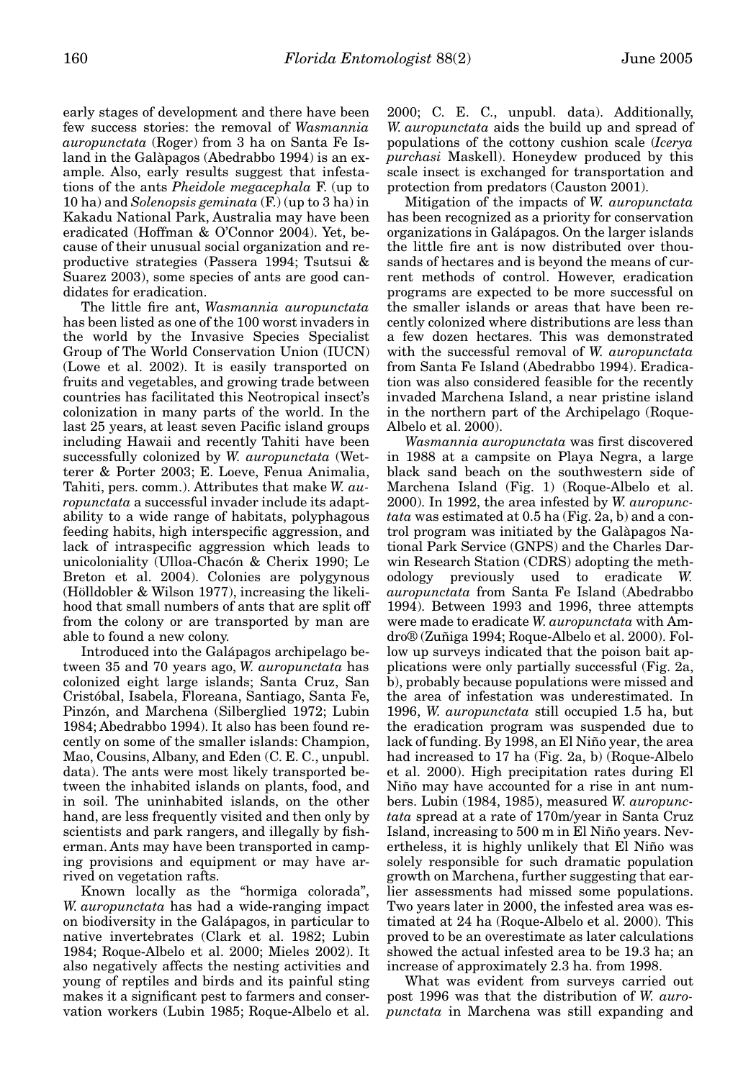early stages of development and there have been few success stories: the removal of *Wasmannia auropunctata* (Roger) from 3 ha on Santa Fe Island in the Galàpagos (Abedrabbo 1994) is an example. Also, early results suggest that infestations of the ants *Pheidole megacephala* F. (up to 10 ha) and *Solenopsis geminata* (F.) (up to 3 ha) in Kakadu National Park, Australia may have been eradicated (Hoffman & O'Connor 2004). Yet, because of their unusual social organization and reproductive strategies (Passera 1994; Tsutsui & Suarez 2003), some species of ants are good candidates for eradication.

The little fire ant, *Wasmannia auropunctata* has been listed as one of the 100 worst invaders in the world by the Invasive Species Specialist Group of The World Conservation Union (IUCN) (Lowe et al. 2002). It is easily transported on fruits and vegetables, and growing trade between countries has facilitated this Neotropical insect's colonization in many parts of the world. In the last 25 years, at least seven Pacific island groups including Hawaii and recently Tahiti have been successfully colonized by *W. auropunctata* (Wetterer & Porter 2003; E. Loeve, Fenua Animalia, Tahiti, pers. comm.). Attributes that make *W. auropunctata* a successful invader include its adaptability to a wide range of habitats, polyphagous feeding habits, high interspecific aggression, and lack of intraspecific aggression which leads to unicoloniality (Ulloa-Chacón & Cherix 1990; Le Breton et al. 2004). Colonies are polygynous (Hölldobler & Wilson 1977), increasing the likelihood that small numbers of ants that are split off from the colony or are transported by man are able to found a new colony.

Introduced into the Galápagos archipelago between 35 and 70 years ago, *W. auropunctata* has colonized eight large islands; Santa Cruz, San Cristóbal, Isabela, Floreana, Santiago, Santa Fe, Pinzón, and Marchena (Silberglied 1972; Lubin 1984; Abedrabbo 1994). It also has been found recently on some of the smaller islands: Champion, Mao, Cousins, Albany, and Eden (C. E. C., unpubl. data). The ants were most likely transported between the inhabited islands on plants, food, and in soil. The uninhabited islands, on the other hand, are less frequently visited and then only by scientists and park rangers, and illegally by fisherman. Ants may have been transported in camping provisions and equipment or may have arrived on vegetation rafts.

Known locally as the "hormiga colorada", *W. auropunctata* has had a wide-ranging impact on biodiversity in the Galápagos, in particular to native invertebrates (Clark et al. 1982; Lubin 1984; Roque-Albelo et al. 2000; Mieles 2002). It also negatively affects the nesting activities and young of reptiles and birds and its painful sting makes it a significant pest to farmers and conservation workers (Lubin 1985; Roque-Albelo et al.

2000; C. E. C., unpubl. data). Additionally, *W. auropunctata* aids the build up and spread of populations of the cottony cushion scale (*Icerya purchasi* Maskell). Honeydew produced by this scale insect is exchanged for transportation and protection from predators (Causton 2001).

Mitigation of the impacts of *W. auropunctata* has been recognized as a priority for conservation organizations in Galápagos. On the larger islands the little fire ant is now distributed over thousands of hectares and is beyond the means of current methods of control. However, eradication programs are expected to be more successful on the smaller islands or areas that have been recently colonized where distributions are less than a few dozen hectares. This was demonstrated with the successful removal of *W. auropunctata* from Santa Fe Island (Abedrabbo 1994). Eradication was also considered feasible for the recently invaded Marchena Island, a near pristine island in the northern part of the Archipelago (Roque-Albelo et al. 2000).

*Wasmannia auropunctata* was first discovered in 1988 at a campsite on Playa Negra, a large black sand beach on the southwestern side of Marchena Island (Fig. 1) (Roque-Albelo et al. 2000). In 1992, the area infested by *W. auropunctata* was estimated at 0.5 ha (Fig. 2a, b) and a control program was initiated by the Galàpagos National Park Service (GNPS) and the Charles Darwin Research Station (CDRS) adopting the methodology previously used to eradicate *W. auropunctata* from Santa Fe Island (Abedrabbo 1994). Between 1993 and 1996, three attempts were made to eradicate *W. auropunctata* with Amdro® (Zuñiga 1994; Roque-Albelo et al. 2000). Follow up surveys indicated that the poison bait applications were only partially successful (Fig. 2a, b), probably because populations were missed and the area of infestation was underestimated. In 1996, *W. auropunctata* still occupied 1.5 ha, but the eradication program was suspended due to lack of funding. By 1998, an El Niño year, the area had increased to 17 ha (Fig. 2a, b) (Roque-Albelo et al. 2000). High precipitation rates during El Niño may have accounted for a rise in ant numbers. Lubin (1984, 1985), measured *W. auropunctata* spread at a rate of 170m/year in Santa Cruz Island, increasing to 500 m in El Niño years. Nevertheless, it is highly unlikely that El Niño was solely responsible for such dramatic population growth on Marchena, further suggesting that earlier assessments had missed some populations. Two years later in 2000, the infested area was estimated at 24 ha (Roque-Albelo et al. 2000). This proved to be an overestimate as later calculations showed the actual infested area to be 19.3 ha; an increase of approximately 2.3 ha. from 1998.

What was evident from surveys carried out post 1996 was that the distribution of *W. auropunctata* in Marchena was still expanding and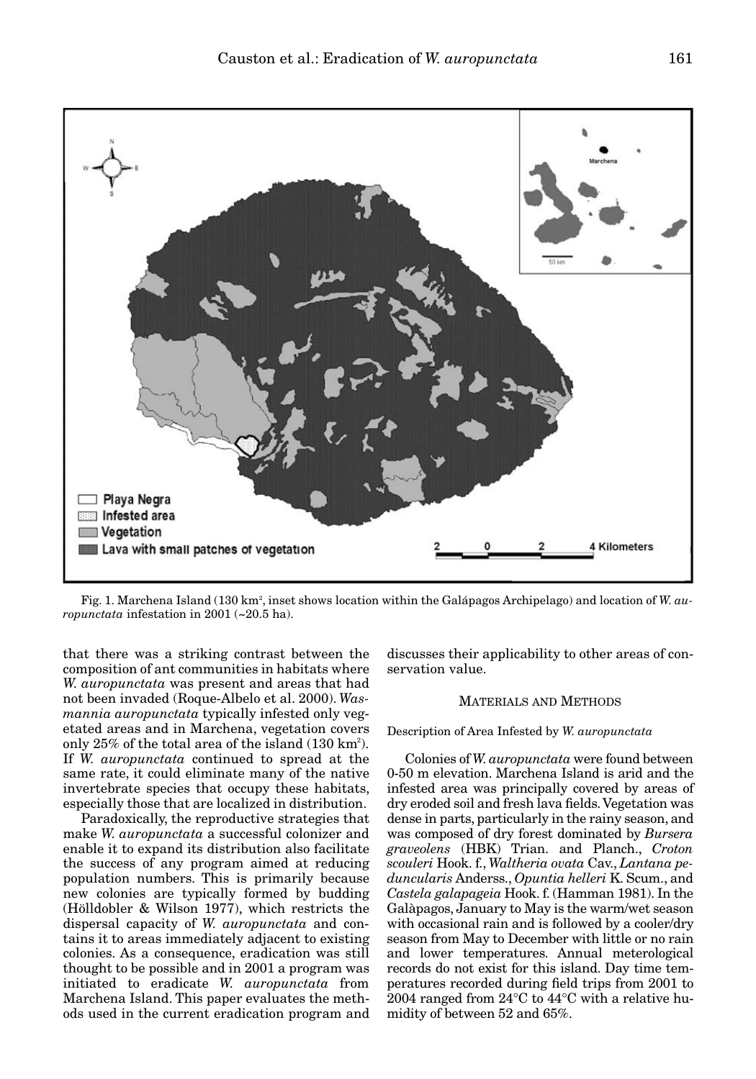

Fig. 1. Marchena Island (130 km², inset shows location within the Galápagos Archipelago) and location of *W. auropunctata* infestation in 2001 (~20.5 ha).

that there was a striking contrast between the composition of ant communities in habitats where *W. auropunctata* was present and areas that had not been invaded (Roque-Albelo et al. 2000). *Wasmannia auropunctata* typically infested only vegetated areas and in Marchena, vegetation covers only  $25\%$  of the total area of the island  $(130 \text{ km}^2)$ . If *W. auropunctata* continued to spread at the same rate, it could eliminate many of the native invertebrate species that occupy these habitats, especially those that are localized in distribution.

Paradoxically, the reproductive strategies that make *W. auropunctata* a successful colonizer and enable it to expand its distribution also facilitate the success of any program aimed at reducing population numbers. This is primarily because new colonies are typically formed by budding (Hölldobler & Wilson 1977), which restricts the dispersal capacity of *W. auropunctata* and contains it to areas immediately adjacent to existing colonies. As a consequence, eradication was still thought to be possible and in 2001 a program was initiated to eradicate *W. auropunctata* from Marchena Island. This paper evaluates the methods used in the current eradication program and

discusses their applicability to other areas of conservation value.

#### MATERIALS AND METHODS

Description of Area Infested by *W. auropunctata*

Colonies of *W. auropunctata* were found between 0-50 m elevation. Marchena Island is arid and the infested area was principally covered by areas of dry eroded soil and fresh lava fields. Vegetation was dense in parts, particularly in the rainy season, and was composed of dry forest dominated by *Bursera graveolens* (HBK) Trian. and Planch., *Croton scouleri* Hook. f., *Waltheria ovata* Cav., *Lantana peduncularis* Anderss., *Opuntia helleri* K. Scum., and *Castela galapageia* Hook. f. (Hamman 1981). In the Galàpagos, January to May is the warm/wet season with occasional rain and is followed by a cooler/dry season from May to December with little or no rain and lower temperatures. Annual meterological records do not exist for this island. Day time temperatures recorded during field trips from 2001 to 2004 ranged from 24°C to 44°C with a relative humidity of between 52 and 65%.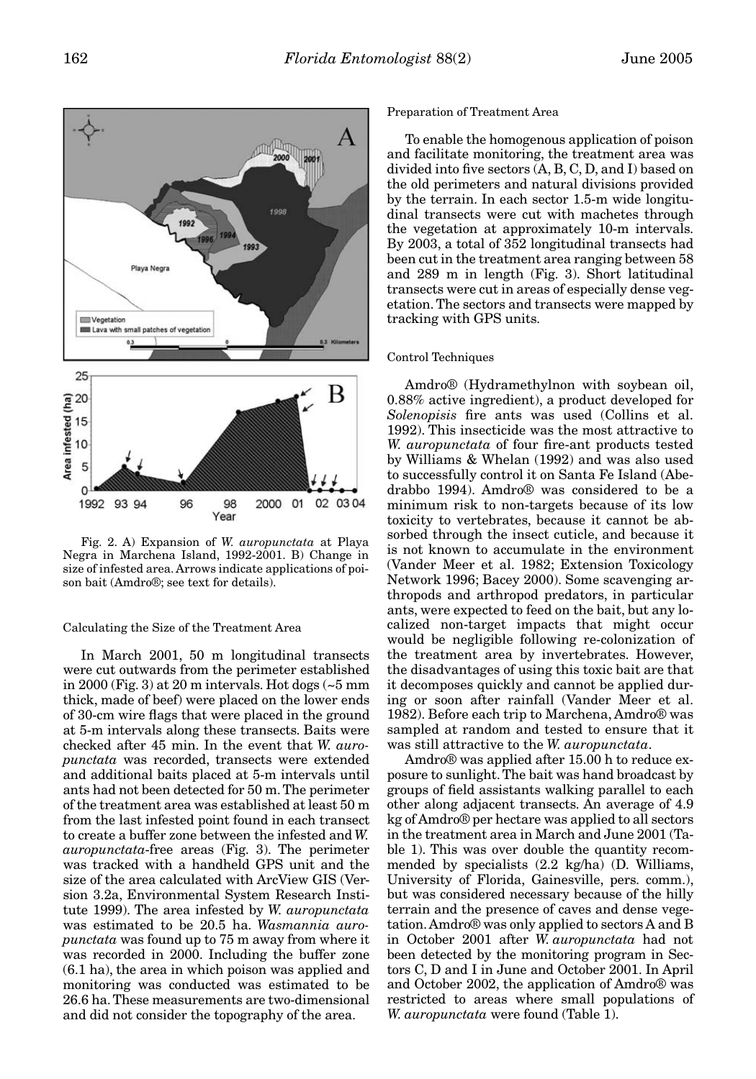

Fig. 2. A) Expansion of *W. auropunctata* at Playa Negra in Marchena Island, 1992-2001. B) Change in size of infested area. Arrows indicate applications of poison bait (Amdro®; see text for details).

# Calculating the Size of the Treatment Area

In March 2001, 50 m longitudinal transects were cut outwards from the perimeter established in 2000 (Fig. 3) at 20 m intervals. Hot dogs (~5 mm thick, made of beef) were placed on the lower ends of 30-cm wire flags that were placed in the ground at 5-m intervals along these transects. Baits were checked after 45 min. In the event that *W. auropunctata* was recorded, transects were extended and additional baits placed at 5-m intervals until ants had not been detected for 50 m. The perimeter of the treatment area was established at least 50 m from the last infested point found in each transect to create a buffer zone between the infested and *W. auropunctata*-free areas (Fig. 3). The perimeter was tracked with a handheld GPS unit and the size of the area calculated with ArcView GIS (Version 3.2a, Environmental System Research Institute 1999). The area infested by *W. auropunctata* was estimated to be 20.5 ha. *Wasmannia auropunctata* was found up to 75 m away from where it was recorded in 2000. Including the buffer zone (6.1 ha), the area in which poison was applied and monitoring was conducted was estimated to be 26.6 ha. These measurements are two-dimensional and did not consider the topography of the area.

# Preparation of Treatment Area

To enable the homogenous application of poison and facilitate monitoring, the treatment area was divided into five sectors (A, B, C, D, and I) based on the old perimeters and natural divisions provided by the terrain. In each sector 1.5-m wide longitudinal transects were cut with machetes through the vegetation at approximately 10-m intervals. By 2003, a total of 352 longitudinal transects had been cut in the treatment area ranging between 58 and 289 m in length (Fig. 3). Short latitudinal transects were cut in areas of especially dense vegetation. The sectors and transects were mapped by tracking with GPS units.

#### Control Techniques

Amdro® (Hydramethylnon with soybean oil, 0.88% active ingredient), a product developed for *Solenopisis* fire ants was used (Collins et al. 1992). This insecticide was the most attractive to *W. auropunctata* of four fire-ant products tested by Williams & Whelan (1992) and was also used to successfully control it on Santa Fe Island (Abedrabbo 1994). Amdro® was considered to be a minimum risk to non-targets because of its low toxicity to vertebrates, because it cannot be absorbed through the insect cuticle, and because it is not known to accumulate in the environment (Vander Meer et al. 1982; Extension Toxicology Network 1996; Bacey 2000). Some scavenging arthropods and arthropod predators, in particular ants, were expected to feed on the bait, but any localized non-target impacts that might occur would be negligible following re-colonization of the treatment area by invertebrates. However, the disadvantages of using this toxic bait are that it decomposes quickly and cannot be applied during or soon after rainfall (Vander Meer et al. 1982). Before each trip to Marchena, Amdro® was sampled at random and tested to ensure that it was still attractive to the *W. auropunctata*.

Amdro® was applied after 15.00 h to reduce exposure to sunlight. The bait was hand broadcast by groups of field assistants walking parallel to each other along adjacent transects. An average of 4.9 kg of Amdro® per hectare was applied to all sectors in the treatment area in March and June 2001 (Table 1). This was over double the quantity recommended by specialists (2.2 kg/ha) (D. Williams, University of Florida, Gainesville, pers. comm.), but was considered necessary because of the hilly terrain and the presence of caves and dense vegetation. Amdro® was only applied to sectors A and B in October 2001 after *W. auropunctata* had not been detected by the monitoring program in Sectors C, D and I in June and October 2001. In April and October 2002, the application of Amdro® was restricted to areas where small populations of *W. auropunctata* were found (Table 1).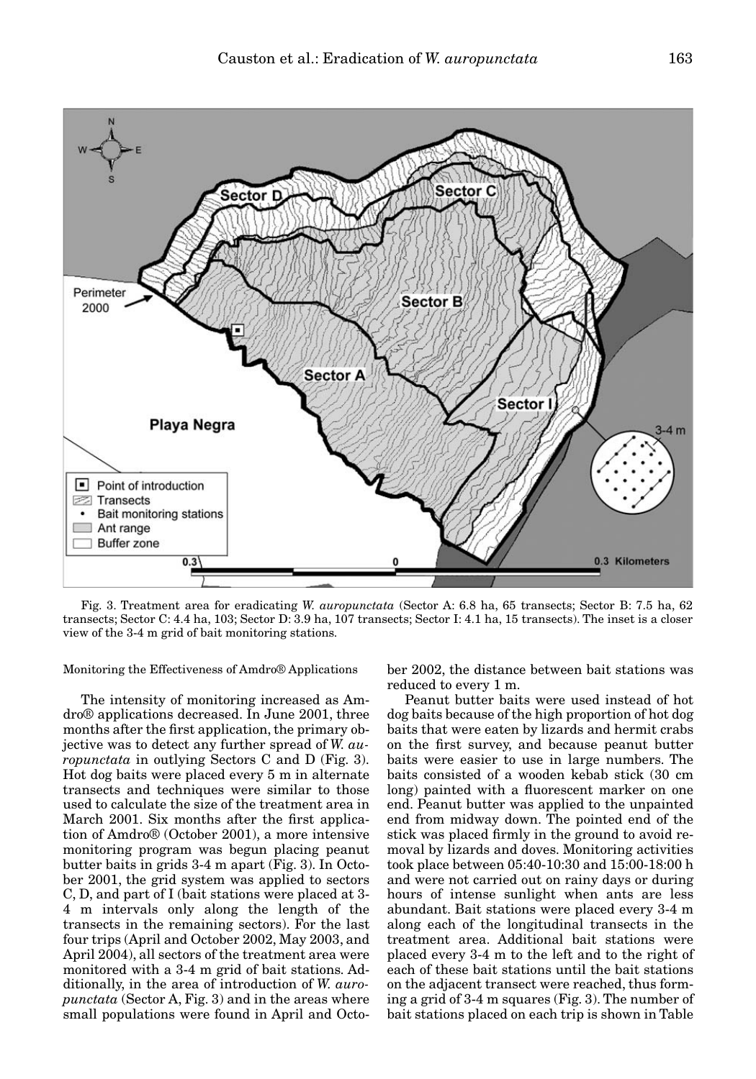

Fig. 3. Treatment area for eradicating *W. auropunctata* (Sector A: 6.8 ha, 65 transects; Sector B: 7.5 ha, 62 transects; Sector C: 4.4 ha, 103; Sector D: 3.9 ha, 107 transects; Sector I: 4.1 ha, 15 transects). The inset is a closer view of the 3-4 m grid of bait monitoring stations.

Monitoring the Effectiveness of Amdro® Applications

The intensity of monitoring increased as Amdro® applications decreased. In June 2001, three months after the first application, the primary objective was to detect any further spread of *W. auropunctata* in outlying Sectors C and D (Fig. 3). Hot dog baits were placed every 5 m in alternate transects and techniques were similar to those used to calculate the size of the treatment area in March 2001. Six months after the first application of Amdro® (October 2001), a more intensive monitoring program was begun placing peanut butter baits in grids 3-4 m apart (Fig. 3). In October 2001, the grid system was applied to sectors C, D, and part of I (bait stations were placed at 3- 4 m intervals only along the length of the transects in the remaining sectors). For the last four trips (April and October 2002, May 2003, and April 2004), all sectors of the treatment area were monitored with a 3-4 m grid of bait stations. Additionally, in the area of introduction of *W. auropunctata* (Sector A, Fig. 3) and in the areas where small populations were found in April and Octo-

ber 2002, the distance between bait stations was reduced to every 1 m.

Peanut butter baits were used instead of hot dog baits because of the high proportion of hot dog baits that were eaten by lizards and hermit crabs on the first survey, and because peanut butter baits were easier to use in large numbers. The baits consisted of a wooden kebab stick (30 cm long) painted with a fluorescent marker on one end. Peanut butter was applied to the unpainted end from midway down. The pointed end of the stick was placed firmly in the ground to avoid removal by lizards and doves. Monitoring activities took place between 05:40-10:30 and 15:00-18:00 h and were not carried out on rainy days or during hours of intense sunlight when ants are less abundant. Bait stations were placed every 3-4 m along each of the longitudinal transects in the treatment area. Additional bait stations were placed every 3-4 m to the left and to the right of each of these bait stations until the bait stations on the adjacent transect were reached, thus forming a grid of 3-4 m squares (Fig. 3). The number of bait stations placed on each trip is shown in Table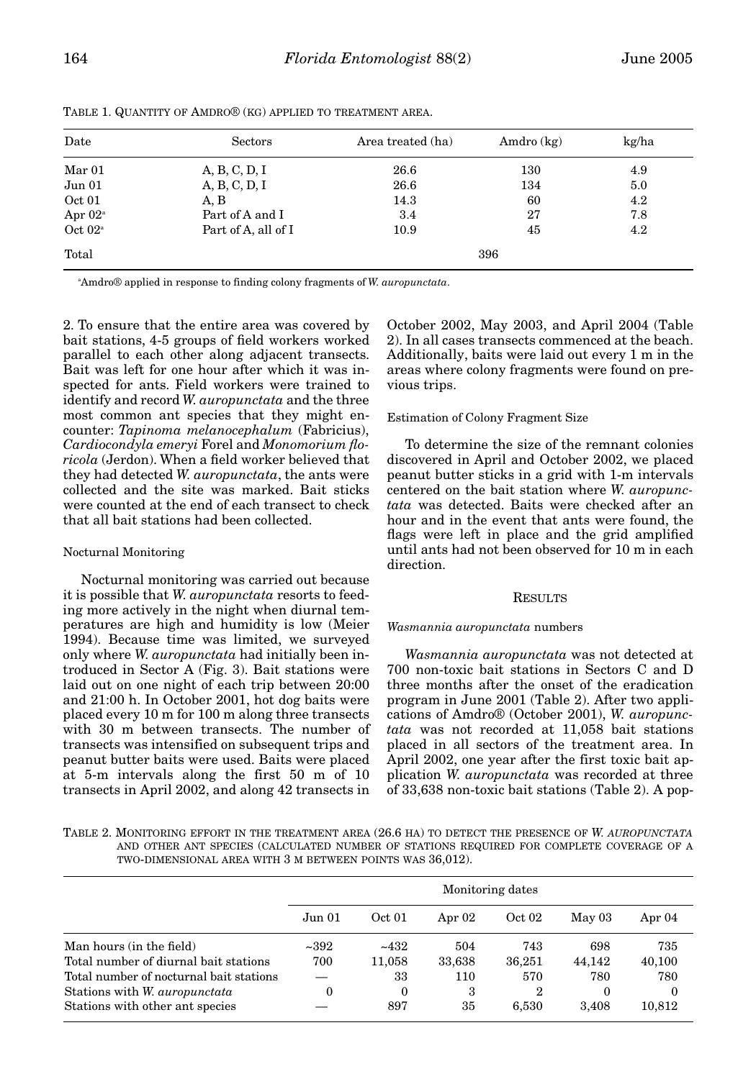| Date             | Sectors             | Area treated (ha) | Amdro (kg) | kg/ha<br>4.9 |  |  |  |
|------------------|---------------------|-------------------|------------|--------------|--|--|--|
| Mar 01           | A, B, C, D, I       | 26.6              | 130        |              |  |  |  |
| Jun 01           | A, B, C, D, I       | 26.6              | 134        | 5.0          |  |  |  |
| Oct 01           | A, B                | 14.3              | 60         | 4.2          |  |  |  |
| Apr $02^{\circ}$ | Part of A and I     | 3.4               | 27         | 7.8          |  |  |  |
| Oct $02^{\circ}$ | Part of A, all of I | 10.9              | 45         | 4.2          |  |  |  |
| Total            | 396                 |                   |            |              |  |  |  |

TABLE 1. QUANTITY OF AMDRO® (KG) APPLIED TO TREATMENT AREA.

a Amdro® applied in response to finding colony fragments of *W. auropunctata*.

2. To ensure that the entire area was covered by bait stations, 4-5 groups of field workers worked parallel to each other along adjacent transects. Bait was left for one hour after which it was inspected for ants. Field workers were trained to identify and record *W. auropunctata* and the three most common ant species that they might encounter: *Tapinoma melanocephalum* (Fabricius), *Cardiocondyla emeryi* Forel and *Monomorium floricola* (Jerdon). When a field worker believed that they had detected *W. auropunctata*, the ants were collected and the site was marked. Bait sticks were counted at the end of each transect to check that all bait stations had been collected.

## Nocturnal Monitoring

Nocturnal monitoring was carried out because it is possible that *W. auropunctata* resorts to feeding more actively in the night when diurnal temperatures are high and humidity is low (Meier 1994). Because time was limited, we surveyed only where *W. auropunctata* had initially been introduced in Sector A (Fig. 3). Bait stations were laid out on one night of each trip between 20:00 and 21:00 h. In October 2001, hot dog baits were placed every 10 m for 100 m along three transects with 30 m between transects. The number of transects was intensified on subsequent trips and peanut butter baits were used. Baits were placed at 5-m intervals along the first 50 m of 10 transects in April 2002, and along 42 transects in

October 2002, May 2003, and April 2004 (Table 2). In all cases transects commenced at the beach. Additionally, baits were laid out every 1 m in the areas where colony fragments were found on previous trips.

# Estimation of Colony Fragment Size

To determine the size of the remnant colonies discovered in April and October 2002, we placed peanut butter sticks in a grid with 1-m intervals centered on the bait station where *W. auropunctata* was detected. Baits were checked after an hour and in the event that ants were found, the flags were left in place and the grid amplified until ants had not been observed for 10 m in each direction.

## RESULTS

## *Wasmannia auropunctata* numbers

*Wasmannia auropunctata* was not detected at 700 non-toxic bait stations in Sectors C and D three months after the onset of the eradication program in June 2001 (Table 2). After two applications of Amdro® (October 2001), *W. auropunctata* was not recorded at 11,058 bait stations placed in all sectors of the treatment area. In April 2002, one year after the first toxic bait application *W. auropunctata* was recorded at three of 33,638 non-toxic bait stations (Table 2). A pop-

TABLE 2. MONITORING EFFORT IN THE TREATMENT AREA (26.6 HA) TO DETECT THE PRESENCE OF *W. AUROPUNCTATA* AND OTHER ANT SPECIES (CALCULATED NUMBER OF STATIONS REQUIRED FOR COMPLETE COVERAGE OF A TWO-DIMENSIONAL AREA WITH 3 M BETWEEN POINTS WAS 36,012).

|                                         | Monitoring dates |          |          |                  |          |          |  |  |
|-----------------------------------------|------------------|----------|----------|------------------|----------|----------|--|--|
|                                         | Jun 01           | Oct 01   | Apr $02$ | Oct 02           | May 03   | Apr $04$ |  |  |
| Man hours (in the field)                | ~2392            | ~1432    | 504      | 743              | 698      | 735      |  |  |
| Total number of diurnal bait stations   | 700              | 11.058   | 33,638   | 36,251           | 44.142   | 40,100   |  |  |
| Total number of nocturnal bait stations |                  | 33       | 110      | 570              | 780      | 780      |  |  |
| Stations with W. <i>auropunctata</i>    | 0                | $\theta$ | 3        | $\boldsymbol{2}$ | $\theta$ | $\Omega$ |  |  |
| Stations with other ant species         |                  | 897      | 35       | 6.530            | 3.408    | 10,812   |  |  |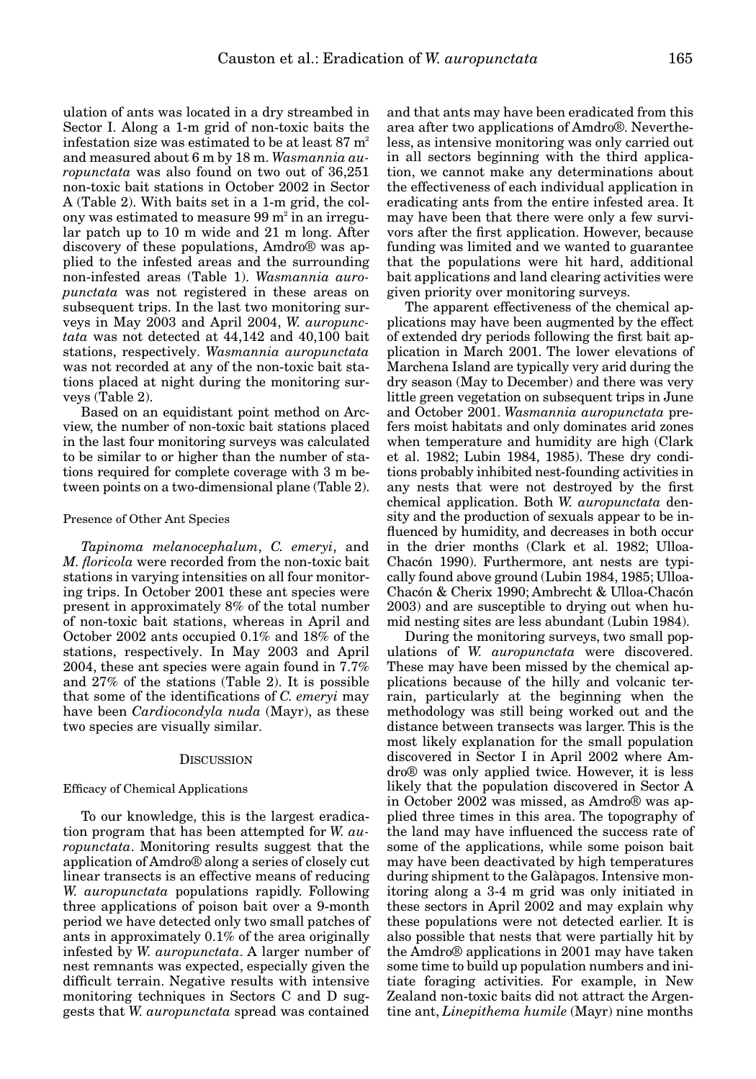ulation of ants was located in a dry streambed in Sector I. Along a 1-m grid of non-toxic baits the infestation size was estimated to be at least  $87 \text{ m}^2$ and measured about 6 m by 18 m. *Wasmannia auropunctata* was also found on two out of 36,251 non-toxic bait stations in October 2002 in Sector A (Table 2). With baits set in a 1-m grid, the colony was estimated to measure  $99 \text{ m}^2$  in an irregular patch up to 10 m wide and 21 m long. After discovery of these populations, Amdro® was applied to the infested areas and the surrounding non-infested areas (Table 1). *Wasmannia auropunctata* was not registered in these areas on subsequent trips. In the last two monitoring surveys in May 2003 and April 2004, *W. auropunctata* was not detected at 44,142 and 40,100 bait stations, respectively. *Wasmannia auropunctata* was not recorded at any of the non-toxic bait stations placed at night during the monitoring surveys (Table 2).

Based on an equidistant point method on Arcview, the number of non-toxic bait stations placed in the last four monitoring surveys was calculated to be similar to or higher than the number of stations required for complete coverage with 3 m between points on a two-dimensional plane (Table 2).

#### Presence of Other Ant Species

*Tapinoma melanocephalum*, *C. emeryi*, and *M. floricola* were recorded from the non-toxic bait stations in varying intensities on all four monitoring trips. In October 2001 these ant species were present in approximately 8% of the total number of non-toxic bait stations, whereas in April and October 2002 ants occupied 0.1% and 18% of the stations, respectively. In May 2003 and April 2004, these ant species were again found in 7.7% and 27% of the stations (Table 2). It is possible that some of the identifications of *C. emeryi* may have been *Cardiocondyla nuda* (Mayr), as these two species are visually similar.

#### **DISCUSSION**

#### Efficacy of Chemical Applications

To our knowledge, this is the largest eradication program that has been attempted for *W. auropunctata*. Monitoring results suggest that the application of Amdro® along a series of closely cut linear transects is an effective means of reducing *W. auropunctata* populations rapidly. Following three applications of poison bait over a 9-month period we have detected only two small patches of ants in approximately 0.1% of the area originally infested by *W. auropunctata*. A larger number of nest remnants was expected, especially given the difficult terrain. Negative results with intensive monitoring techniques in Sectors C and D suggests that *W. auropunctata* spread was contained

and that ants may have been eradicated from this area after two applications of Amdro®. Nevertheless, as intensive monitoring was only carried out in all sectors beginning with the third application, we cannot make any determinations about the effectiveness of each individual application in eradicating ants from the entire infested area. It may have been that there were only a few survivors after the first application. However, because funding was limited and we wanted to guarantee that the populations were hit hard, additional bait applications and land clearing activities were given priority over monitoring surveys.

The apparent effectiveness of the chemical applications may have been augmented by the effect of extended dry periods following the first bait application in March 2001. The lower elevations of Marchena Island are typically very arid during the dry season (May to December) and there was very little green vegetation on subsequent trips in June and October 2001. *Wasmannia auropunctata* prefers moist habitats and only dominates arid zones when temperature and humidity are high (Clark et al. 1982; Lubin 1984, 1985). These dry conditions probably inhibited nest-founding activities in any nests that were not destroyed by the first chemical application. Both *W. auropunctata* density and the production of sexuals appear to be influenced by humidity, and decreases in both occur in the drier months (Clark et al. 1982; Ulloa-Chacón 1990). Furthermore, ant nests are typically found above ground (Lubin 1984, 1985; Ulloa-Chacón & Cherix 1990; Ambrecht & Ulloa-Chacón 2003) and are susceptible to drying out when humid nesting sites are less abundant (Lubin 1984).

During the monitoring surveys, two small populations of *W. auropunctata* were discovered. These may have been missed by the chemical applications because of the hilly and volcanic terrain, particularly at the beginning when the methodology was still being worked out and the distance between transects was larger. This is the most likely explanation for the small population discovered in Sector I in April 2002 where Amdro® was only applied twice. However, it is less likely that the population discovered in Sector A in October 2002 was missed, as Amdro® was applied three times in this area. The topography of the land may have influenced the success rate of some of the applications, while some poison bait may have been deactivated by high temperatures during shipment to the Galàpagos. Intensive monitoring along a 3-4 m grid was only initiated in these sectors in April 2002 and may explain why these populations were not detected earlier. It is also possible that nests that were partially hit by the Amdro® applications in 2001 may have taken some time to build up population numbers and initiate foraging activities. For example, in New Zealand non-toxic baits did not attract the Argentine ant, *Linepithema humile* (Mayr) nine months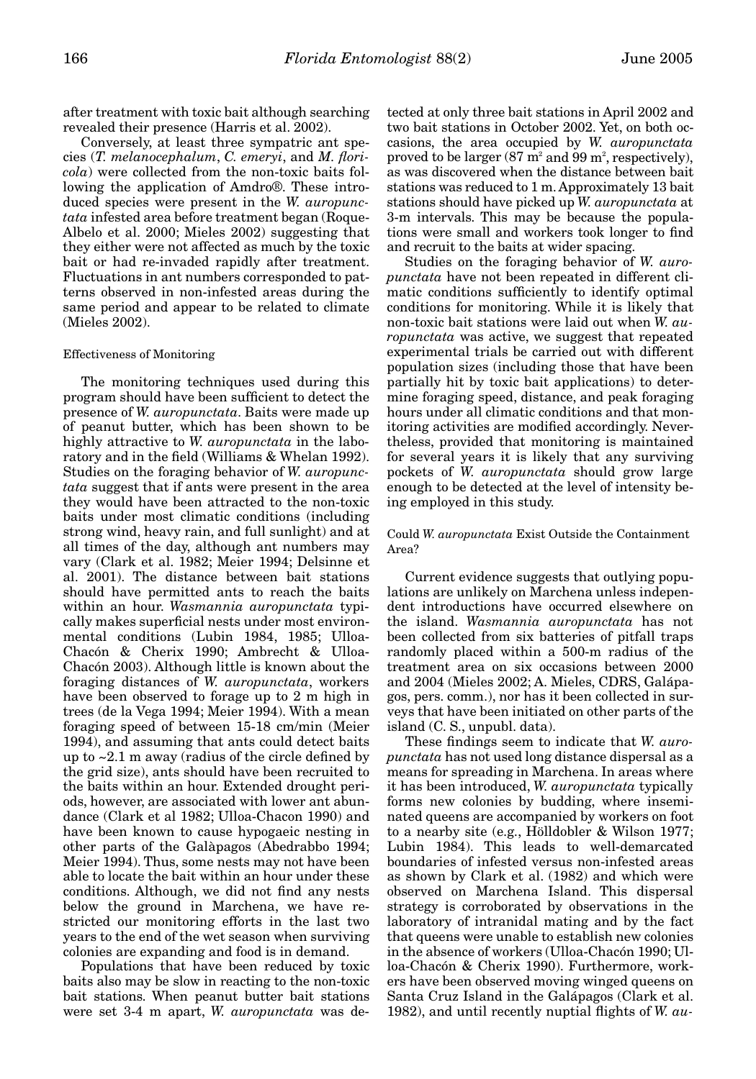after treatment with toxic bait although searching revealed their presence (Harris et al. 2002).

Conversely, at least three sympatric ant species (*T. melanocephalum*, *C. emeryi*, and *M. floricola*) were collected from the non-toxic baits following the application of Amdro®. These introduced species were present in the *W. auropunctata* infested area before treatment began (Roque-Albelo et al. 2000; Mieles 2002) suggesting that they either were not affected as much by the toxic bait or had re-invaded rapidly after treatment. Fluctuations in ant numbers corresponded to patterns observed in non-infested areas during the same period and appear to be related to climate (Mieles 2002).

#### Effectiveness of Monitoring

The monitoring techniques used during this program should have been sufficient to detect the presence of *W. auropunctata*. Baits were made up of peanut butter, which has been shown to be highly attractive to *W. auropunctata* in the laboratory and in the field (Williams & Whelan 1992). Studies on the foraging behavior of *W. auropunctata* suggest that if ants were present in the area they would have been attracted to the non-toxic baits under most climatic conditions (including strong wind, heavy rain, and full sunlight) and at all times of the day, although ant numbers may vary (Clark et al. 1982; Meier 1994; Delsinne et al. 2001). The distance between bait stations should have permitted ants to reach the baits within an hour. *Wasmannia auropunctata* typically makes superficial nests under most environmental conditions (Lubin 1984, 1985; Ulloa-Chacón & Cherix 1990; Ambrecht & Ulloa-Chacón 2003). Although little is known about the foraging distances of *W. auropunctata*, workers have been observed to forage up to 2 m high in trees (de la Vega 1994; Meier 1994). With a mean foraging speed of between 15-18 cm/min (Meier 1994), and assuming that ants could detect baits up to  $\sim$  2.1 m away (radius of the circle defined by the grid size), ants should have been recruited to the baits within an hour. Extended drought periods, however, are associated with lower ant abundance (Clark et al 1982; Ulloa-Chacon 1990) and have been known to cause hypogaeic nesting in other parts of the Galàpagos (Abedrabbo 1994; Meier 1994). Thus, some nests may not have been able to locate the bait within an hour under these conditions. Although, we did not find any nests below the ground in Marchena, we have restricted our monitoring efforts in the last two years to the end of the wet season when surviving colonies are expanding and food is in demand.

Populations that have been reduced by toxic baits also may be slow in reacting to the non-toxic bait stations. When peanut butter bait stations were set 3-4 m apart, *W. auropunctata* was de-

tected at only three bait stations in April 2002 and two bait stations in October 2002. Yet, on both occasions, the area occupied by *W. auropunctata* proved to be larger  $(87 \text{ m}^2 \text{ and } 99 \text{ m}^2, \text{respectively}),$ as was discovered when the distance between bait stations was reduced to 1 m. Approximately 13 bait stations should have picked up *W. auropunctata* at 3-m intervals. This may be because the populations were small and workers took longer to find and recruit to the baits at wider spacing.

Studies on the foraging behavior of *W. auropunctata* have not been repeated in different climatic conditions sufficiently to identify optimal conditions for monitoring. While it is likely that non-toxic bait stations were laid out when *W. auropunctata* was active, we suggest that repeated experimental trials be carried out with different population sizes (including those that have been partially hit by toxic bait applications) to determine foraging speed, distance, and peak foraging hours under all climatic conditions and that monitoring activities are modified accordingly. Nevertheless, provided that monitoring is maintained for several years it is likely that any surviving pockets of *W. auropunctata* should grow large enough to be detected at the level of intensity being employed in this study.

## Could *W. auropunctata* Exist Outside the Containment Area?

Current evidence suggests that outlying populations are unlikely on Marchena unless independent introductions have occurred elsewhere on the island. *Wasmannia auropunctata* has not been collected from six batteries of pitfall traps randomly placed within a 500-m radius of the treatment area on six occasions between 2000 and 2004 (Mieles 2002; A. Mieles, CDRS, Galápagos, pers. comm.), nor has it been collected in surveys that have been initiated on other parts of the island (C. S., unpubl. data).

These findings seem to indicate that *W. auropunctata* has not used long distance dispersal as a means for spreading in Marchena. In areas where it has been introduced, *W. auropunctata* typically forms new colonies by budding, where inseminated queens are accompanied by workers on foot to a nearby site (e.g., Hölldobler & Wilson 1977; Lubin 1984). This leads to well-demarcated boundaries of infested versus non-infested areas as shown by Clark et al. (1982) and which were observed on Marchena Island. This dispersal strategy is corroborated by observations in the laboratory of intranidal mating and by the fact that queens were unable to establish new colonies in the absence of workers (Ulloa-Chacón 1990; Ulloa-Chacón & Cherix 1990). Furthermore, workers have been observed moving winged queens on Santa Cruz Island in the Galápagos (Clark et al. 1982), and until recently nuptial flights of *W. au-*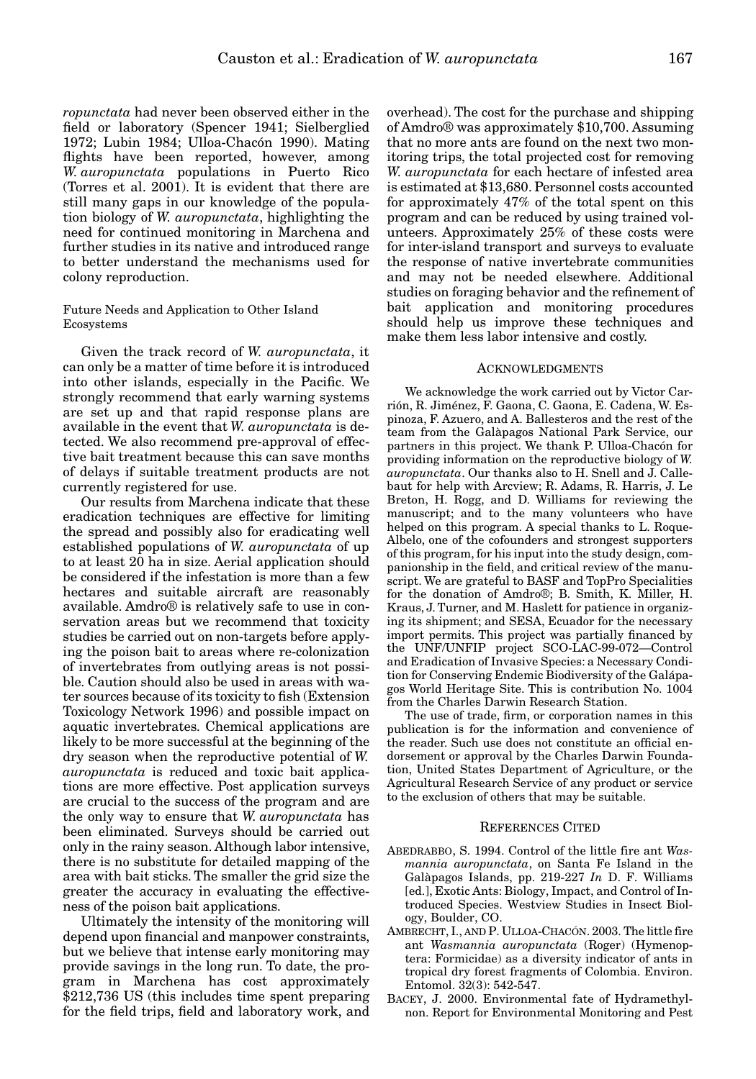*ropunctata* had never been observed either in the field or laboratory (Spencer 1941; Sielberglied 1972; Lubin 1984; Ulloa-Chacón 1990). Mating flights have been reported, however, among *W. auropunctata* populations in Puerto Rico (Torres et al. 2001). It is evident that there are still many gaps in our knowledge of the population biology of *W. auropunctata*, highlighting the need for continued monitoring in Marchena and further studies in its native and introduced range to better understand the mechanisms used for colony reproduction.

## Future Needs and Application to Other Island Ecosystems

Given the track record of *W. auropunctata*, it can only be a matter of time before it is introduced into other islands, especially in the Pacific. We strongly recommend that early warning systems are set up and that rapid response plans are available in the event that *W. auropunctata* is detected. We also recommend pre-approval of effective bait treatment because this can save months of delays if suitable treatment products are not currently registered for use.

Our results from Marchena indicate that these eradication techniques are effective for limiting the spread and possibly also for eradicating well established populations of *W. auropunctata* of up to at least 20 ha in size. Aerial application should be considered if the infestation is more than a few hectares and suitable aircraft are reasonably available. Amdro® is relatively safe to use in conservation areas but we recommend that toxicity studies be carried out on non-targets before applying the poison bait to areas where re-colonization of invertebrates from outlying areas is not possible. Caution should also be used in areas with water sources because of its toxicity to fish (Extension Toxicology Network 1996) and possible impact on aquatic invertebrates. Chemical applications are likely to be more successful at the beginning of the dry season when the reproductive potential of *W. auropunctata* is reduced and toxic bait applications are more effective. Post application surveys are crucial to the success of the program and are the only way to ensure that *W. auropunctata* has been eliminated. Surveys should be carried out only in the rainy season. Although labor intensive, there is no substitute for detailed mapping of the area with bait sticks. The smaller the grid size the greater the accuracy in evaluating the effectiveness of the poison bait applications.

Ultimately the intensity of the monitoring will depend upon financial and manpower constraints, but we believe that intense early monitoring may provide savings in the long run. To date, the program in Marchena has cost approximately \$212,736 US (this includes time spent preparing for the field trips, field and laboratory work, and overhead). The cost for the purchase and shipping of Amdro® was approximately \$10,700. Assuming that no more ants are found on the next two monitoring trips, the total projected cost for removing *W. auropunctata* for each hectare of infested area is estimated at \$13,680. Personnel costs accounted for approximately 47% of the total spent on this program and can be reduced by using trained volunteers. Approximately 25% of these costs were for inter-island transport and surveys to evaluate the response of native invertebrate communities and may not be needed elsewhere. Additional studies on foraging behavior and the refinement of bait application and monitoring procedures should help us improve these techniques and make them less labor intensive and costly.

# ACKNOWLEDGMENTS

We acknowledge the work carried out by Victor Carrión, R. Jiménez, F. Gaona, C. Gaona, E. Cadena, W. Espinoza, F. Azuero, and A. Ballesteros and the rest of the team from the Galàpagos National Park Service, our partners in this project. We thank P. Ulloa-Chacón for providing information on the reproductive biology of *W. auropunctata*. Our thanks also to H. Snell and J. Callebaut for help with Arcview; R. Adams, R. Harris, J. Le Breton, H. Rogg, and D. Williams for reviewing the manuscript; and to the many volunteers who have helped on this program. A special thanks to L. Roque-Albelo, one of the cofounders and strongest supporters of this program, for his input into the study design, companionship in the field, and critical review of the manuscript. We are grateful to BASF and TopPro Specialities for the donation of Amdro®; B. Smith, K. Miller, H. Kraus, J. Turner, and M. Haslett for patience in organizing its shipment; and SESA, Ecuador for the necessary import permits. This project was partially financed by the UNF/UNFIP project SCO-LAC-99-072—Control and Eradication of Invasive Species: a Necessary Condition for Conserving Endemic Biodiversity of the Galápagos World Heritage Site. This is contribution No. 1004 from the Charles Darwin Research Station.

The use of trade, firm, or corporation names in this publication is for the information and convenience of the reader. Such use does not constitute an official endorsement or approval by the Charles Darwin Foundation, United States Department of Agriculture, or the Agricultural Research Service of any product or service to the exclusion of others that may be suitable.

#### REFERENCES CITED

- ABEDRABBO, S. 1994. Control of the little fire ant *Wasmannia auropunctata*, on Santa Fe Island in the Galàpagos Islands, pp. 219-227 *In* D. F. Williams [ed.], Exotic Ants: Biology, Impact, and Control of Introduced Species. Westview Studies in Insect Biology, Boulder, CO.
- AMBRECHT, I., AND P. ULLOA-CHACÓN. 2003. The little fire ant *Wasmannia auropunctata* (Roger) (Hymenoptera: Formicidae) as a diversity indicator of ants in tropical dry forest fragments of Colombia. Environ. Entomol. 32(3): 542-547.
- BACEY, J. 2000. Environmental fate of Hydramethylnon. Report for Environmental Monitoring and Pest